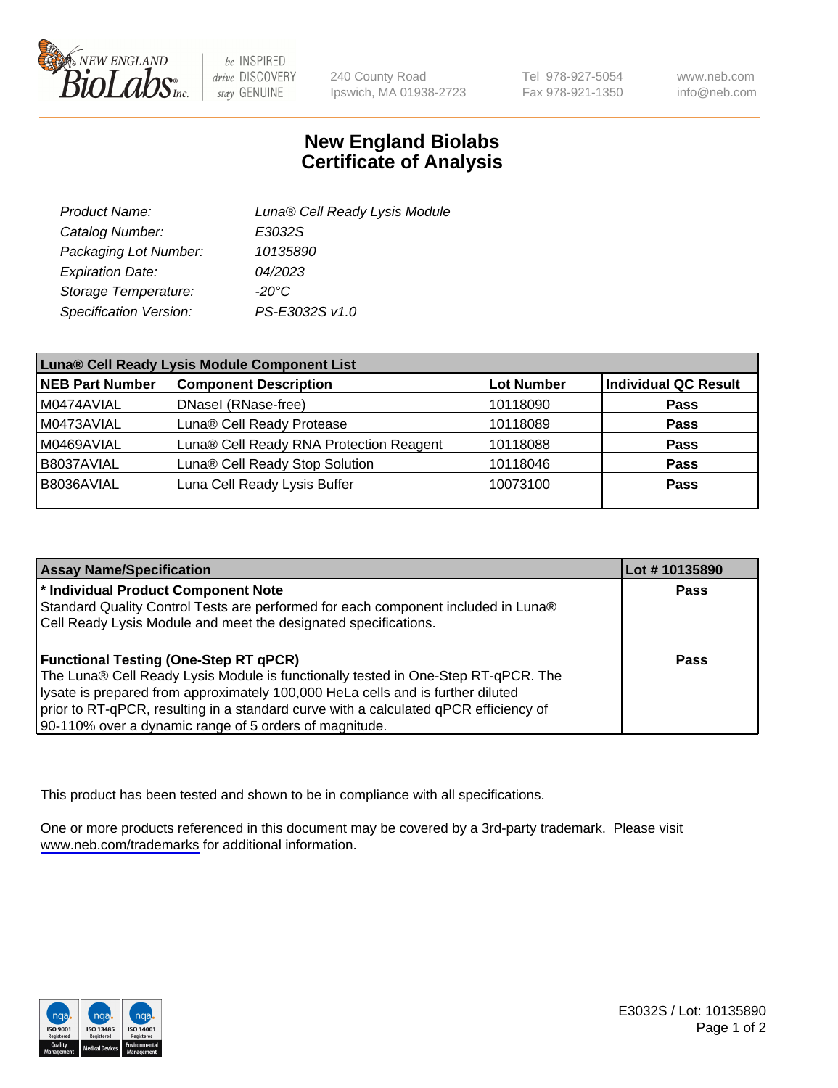

be INSPIRED drive DISCOVERY stay GENUINE

240 County Road Ipswich, MA 01938-2723 Tel 978-927-5054 Fax 978-921-1350

www.neb.com info@neb.com

## **New England Biolabs Certificate of Analysis**

| Product Name:           | Luna® Cell Ready Lysis Module |
|-------------------------|-------------------------------|
| Catalog Number:         | E3032S                        |
| Packaging Lot Number:   | 10135890                      |
| <b>Expiration Date:</b> | 04/2023                       |
| Storage Temperature:    | -20°C                         |
| Specification Version:  | PS-E3032S v1.0                |

| Luna® Cell Ready Lysis Module Component List |                                         |                   |                             |  |
|----------------------------------------------|-----------------------------------------|-------------------|-----------------------------|--|
| <b>NEB Part Number</b>                       | <b>Component Description</b>            | <b>Lot Number</b> | <b>Individual QC Result</b> |  |
| M0474AVIAL                                   | DNasel (RNase-free)                     | 10118090          | <b>Pass</b>                 |  |
| M0473AVIAL                                   | Luna® Cell Ready Protease               | 10118089          | <b>Pass</b>                 |  |
| M0469AVIAL                                   | Luna® Cell Ready RNA Protection Reagent | 10118088          | Pass                        |  |
| B8037AVIAL                                   | Luna® Cell Ready Stop Solution          | 10118046          | <b>Pass</b>                 |  |
| B8036AVIAL                                   | Luna Cell Ready Lysis Buffer            | 10073100          | <b>Pass</b>                 |  |
|                                              |                                         |                   |                             |  |

| <b>Assay Name/Specification</b>                                                      | Lot #10135890 |
|--------------------------------------------------------------------------------------|---------------|
| * Individual Product Component Note                                                  | <b>Pass</b>   |
| Standard Quality Control Tests are performed for each component included in Luna®    |               |
| Cell Ready Lysis Module and meet the designated specifications.                      |               |
|                                                                                      |               |
| <b>Functional Testing (One-Step RT qPCR)</b>                                         | Pass          |
| The Luna® Cell Ready Lysis Module is functionally tested in One-Step RT-qPCR. The    |               |
| lysate is prepared from approximately 100,000 HeLa cells and is further diluted      |               |
| prior to RT-qPCR, resulting in a standard curve with a calculated qPCR efficiency of |               |
| 90-110% over a dynamic range of 5 orders of magnitude.                               |               |

This product has been tested and shown to be in compliance with all specifications.

One or more products referenced in this document may be covered by a 3rd-party trademark. Please visit <www.neb.com/trademarks>for additional information.